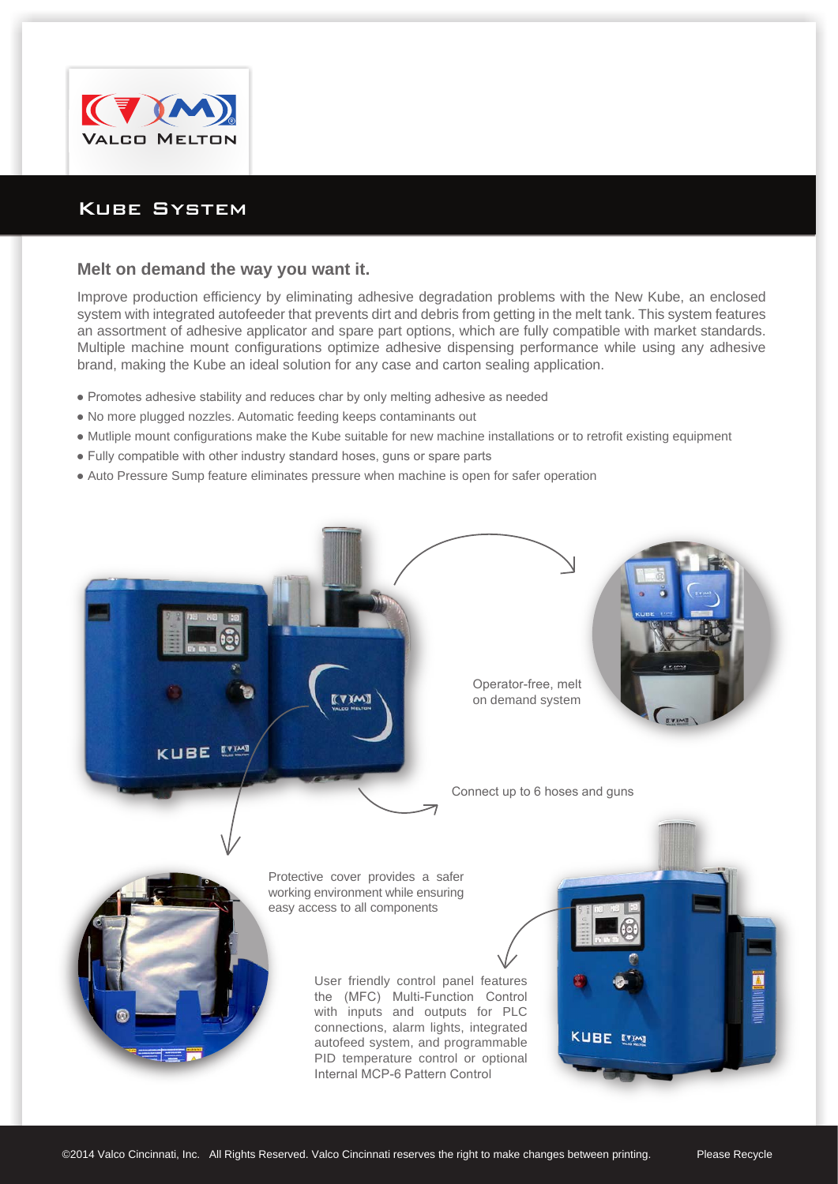

## Kube System

## **Melt on demand the way you want it.**

Improve production efficiency by eliminating adhesive degradation problems with the New Kube, an enclosed system with integrated autofeeder that prevents dirt and debris from getting in the melt tank. This system features an assortment of adhesive applicator and spare part options, which are fully compatible with market standards. Multiple machine mount configurations optimize adhesive dispensing performance while using any adhesive brand, making the Kube an ideal solution for any case and carton sealing application.

- Promotes adhesive stability and reduces char by only melting adhesive as needed
- No more plugged nozzles. Automatic feeding keeps contaminants out
- Mutliple mount configurations make the Kube suitable for new machine installations or to retrofit existing equipment
- Fully compatible with other industry standard hoses, guns or spare parts
- Auto Pressure Sump feature eliminates pressure when machine is open for safer operation